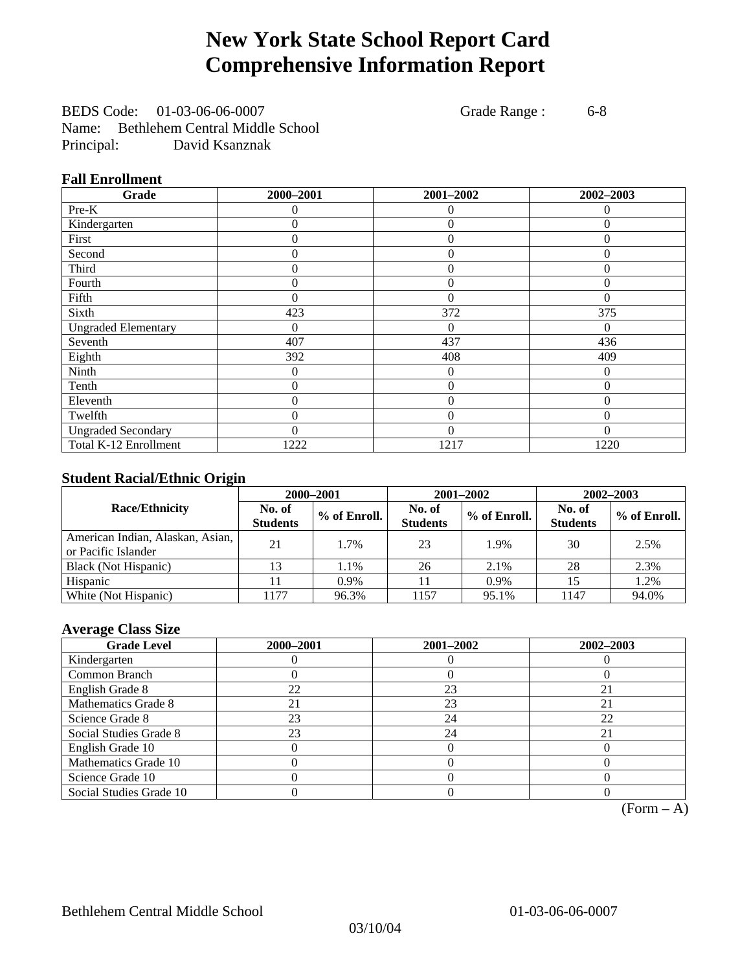# **New York State School Report Card Comprehensive Information Report**

BEDS Code: 01-03-06-06-0007 Grade Range : 6-8 Name: Bethlehem Central Middle School Principal: David Ksanznak

### **Fall Enrollment**

| Grade                      | 2000-2001 | 2001-2002        | 2002-2003 |
|----------------------------|-----------|------------------|-----------|
| Pre-K                      | $\Omega$  | $\Omega$         | $\theta$  |
| Kindergarten               | 0         | $\theta$         | 0         |
| First                      | 0         | $\theta$         | $\Omega$  |
| Second                     | 0         | $\theta$         | $\Omega$  |
| Third                      | 0         | $\theta$         | 0         |
| Fourth                     | 0         | $\theta$         | $\theta$  |
| Fifth                      | 0         | $\Omega$         | $\Omega$  |
| Sixth                      | 423       | 372              | 375       |
| <b>Ungraded Elementary</b> | 0         | $\Omega$         | $\Omega$  |
| Seventh                    | 407       | 437              | 436       |
| Eighth                     | 392       | 408              | 409       |
| Ninth                      | 0         | $\theta$         | $\theta$  |
| Tenth                      | 0         | $\boldsymbol{0}$ | 0         |
| Eleventh                   | 0         | $\overline{0}$   | 0         |
| Twelfth                    | $\theta$  | $\overline{0}$   | $\Omega$  |
| <b>Ungraded Secondary</b>  | $\theta$  | $\theta$         | 0         |
| Total K-12 Enrollment      | 1222      | 1217             | 1220      |

## **Student Racial/Ethnic Origin**

|                                                         | 2000-2001                 |              |                           | 2001-2002    | 2002-2003                 |                |
|---------------------------------------------------------|---------------------------|--------------|---------------------------|--------------|---------------------------|----------------|
| <b>Race/Ethnicity</b>                                   | No. of<br><b>Students</b> | % of Enroll. | No. of<br><b>Students</b> | % of Enroll. | No. of<br><b>Students</b> | $%$ of Enroll. |
| American Indian, Alaskan, Asian,<br>or Pacific Islander | 21                        | 1.7%         | 23                        | 1.9%         | 30                        | 2.5%           |
| Black (Not Hispanic)                                    |                           | 1.1%         | 26                        | 2.1%         | 28                        | 2.3%           |
| Hispanic                                                |                           | 0.9%         |                           | 0.9%         | 15                        | 1.2%           |
| White (Not Hispanic)                                    | 177                       | 96.3%        | 1157                      | 95.1%        | 1147                      | 94.0%          |

## **Average Class Size**

| <b>Grade Level</b>      | 2000-2001 | 2001-2002 | 2002-2003 |
|-------------------------|-----------|-----------|-----------|
| Kindergarten            |           |           |           |
| Common Branch           |           |           |           |
| English Grade 8         | 22        | 23        | 21        |
| Mathematics Grade 8     |           | 23        |           |
| Science Grade 8         | 23        | 24        | 22        |
| Social Studies Grade 8  | 23        | 24        |           |
| English Grade 10        |           |           |           |
| Mathematics Grade 10    |           |           |           |
| Science Grade 10        |           |           |           |
| Social Studies Grade 10 |           |           |           |

 $(Form – A)$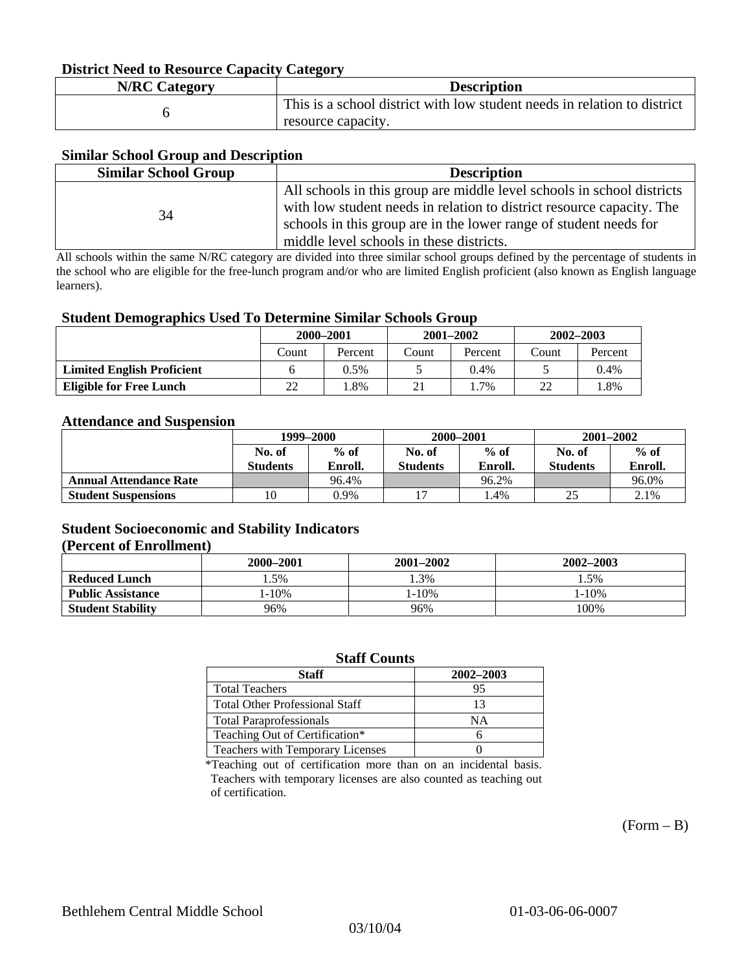#### **District Need to Resource Capacity Category**

| <b>N/RC Category</b> | <b>Description</b>                                                                             |
|----------------------|------------------------------------------------------------------------------------------------|
|                      | This is a school district with low student needs in relation to district<br>resource capacity. |

### **Similar School Group and Description**

| All schools in this group are middle level schools in school districts<br>with low student needs in relation to district resource capacity. The<br>34<br>schools in this group are in the lower range of student needs for | <b>Similar School Group</b> | <b>Description</b>                       |
|----------------------------------------------------------------------------------------------------------------------------------------------------------------------------------------------------------------------------|-----------------------------|------------------------------------------|
|                                                                                                                                                                                                                            |                             | middle level schools in these districts. |

All schools within the same N/RC category are divided into three similar school groups defined by the percentage of students in the school who are eligible for the free-lunch program and/or who are limited English proficient (also known as English language learners).

#### **Student Demographics Used To Determine Similar Schools Group**

| . .                               | 2000-2001 |         | $2001 - 2002$ |         | $2002 - 2003$ |         |
|-----------------------------------|-----------|---------|---------------|---------|---------------|---------|
|                                   | Count     | Percent | Count         | Percent | Count         | Percent |
| <b>Limited English Proficient</b> |           | $0.5\%$ |               | 0.4%    |               | 0.4%    |
| <b>Eligible for Free Lunch</b>    | 22        | .8%     | 21            | $1.7\%$ | າາ            | . 8%    |

#### **Attendance and Suspension**

|                               | 1999–2000       |         | 2000-2001       |         | $2001 - 2002$   |         |
|-------------------------------|-----------------|---------|-----------------|---------|-----------------|---------|
|                               | No. of          | $%$ of  | No. of          | $%$ of  | No. of          | $%$ of  |
|                               | <b>Students</b> | Enroll. | <b>Students</b> | Enroll. | <b>Students</b> | Enroll. |
| <b>Annual Attendance Rate</b> |                 | 96.4%   |                 | 96.2%   |                 | 96.0%   |
| <b>Student Suspensions</b>    | 10              | 0.9%    |                 | . 4%    | ن ک             | 2.1%    |

### **Student Socioeconomic and Stability Indicators (Percent of Enrollment)**

|                          | 2000-2001 | 2001–2002 | 2002-2003 |
|--------------------------|-----------|-----------|-----------|
| <b>Reduced Lunch</b>     | 5%        | .3%       | . .5%     |
| <b>Public Assistance</b> | $-10%$    | 1-10%     | $-10%$    |
| <b>Student Stability</b> | 96%       | 96%       | 100%      |

#### **Staff Counts**

| Staff                                   | 2002-2003 |
|-----------------------------------------|-----------|
| <b>Total Teachers</b>                   | 95        |
| <b>Total Other Professional Staff</b>   | 13        |
| <b>Total Paraprofessionals</b>          | NΑ        |
| Teaching Out of Certification*          |           |
| <b>Teachers with Temporary Licenses</b> |           |

\*Teaching out of certification more than on an incidental basis. Teachers with temporary licenses are also counted as teaching out of certification.

 $(Form - B)$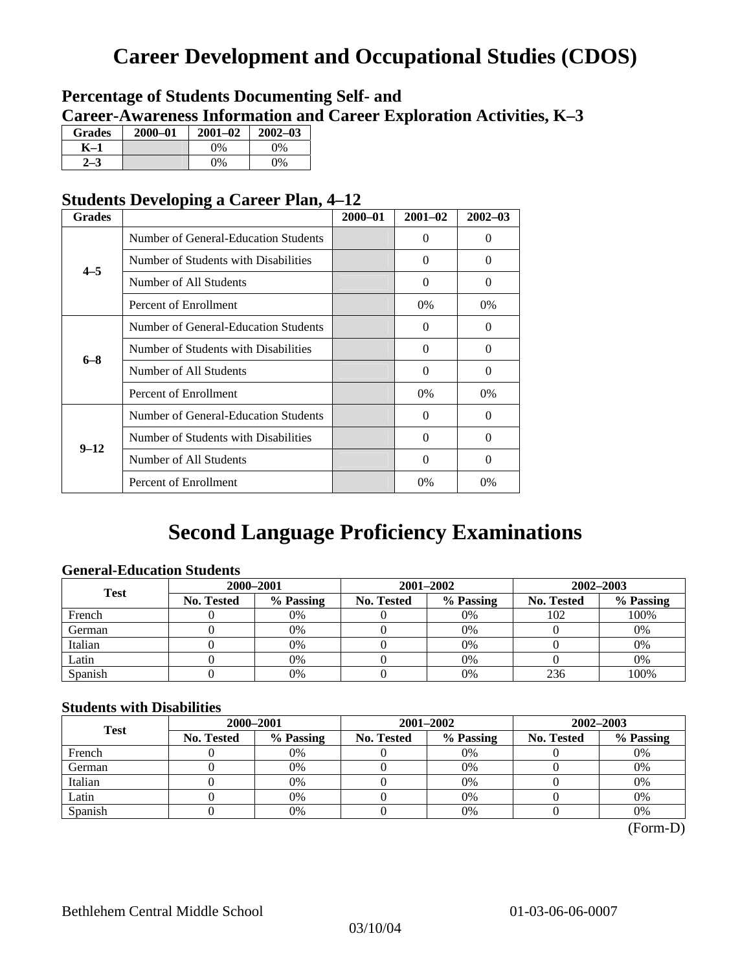# **Career Development and Occupational Studies (CDOS)**

# **Percentage of Students Documenting Self- and Career-Awareness Information and Career Exploration Activities, K–3**

| <b>Grades</b> | 2000-01 | $2001 - 02$ | $2002 - 03$ |
|---------------|---------|-------------|-------------|
| K–1           |         | $0\%$       | $0\%$       |
|               |         | $0\%$       | $0\%$       |

# **Students Developing a Career Plan, 4–12**

| <b>Grades</b> |                                      | $2000 - 01$ | $2001 - 02$ | $2002 - 03$ |
|---------------|--------------------------------------|-------------|-------------|-------------|
|               | Number of General-Education Students |             | 0           | $\theta$    |
| $4 - 5$       | Number of Students with Disabilities |             | $\theta$    | $\Omega$    |
|               | Number of All Students               |             | $\Omega$    | $\Omega$    |
|               | Percent of Enrollment                |             | 0%          | 0%          |
|               | Number of General-Education Students |             | 0           | 0           |
| $6 - 8$       | Number of Students with Disabilities |             | $\Omega$    | $\Omega$    |
|               | Number of All Students               |             | $\Omega$    | $\Omega$    |
|               | Percent of Enrollment                |             | 0%          | 0%          |
|               | Number of General-Education Students |             | 0           | $\Omega$    |
| $9 - 12$      | Number of Students with Disabilities |             | 0           | $\Omega$    |
|               | Number of All Students               |             | $\theta$    | $\Omega$    |
|               | Percent of Enrollment                |             | $0\%$       | 0%          |

# **Second Language Proficiency Examinations**

# **General-Education Students**

| <b>Test</b> | 2000-2001         |           |            | 2001-2002 | 2002-2003         |           |
|-------------|-------------------|-----------|------------|-----------|-------------------|-----------|
|             | <b>No. Tested</b> | % Passing | No. Tested | % Passing | <b>No. Tested</b> | % Passing |
| French      |                   | 0%        |            | $0\%$     | 102               | 100%      |
| German      |                   | 0%        |            | $0\%$     |                   | 0%        |
| Italian     |                   | 0%        |            | 0%        |                   | 0%        |
| Latin       |                   | 0%        |            | 0%        |                   | 0%        |
| Spanish     |                   | 0%        |            | 0%        | 236               | 100%      |

### **Students with Disabilities**

| <b>Test</b> | 2000-2001         |           |            | 2001-2002 | 2002-2003         |           |  |
|-------------|-------------------|-----------|------------|-----------|-------------------|-----------|--|
|             | <b>No. Tested</b> | % Passing | No. Tested | % Passing | <b>No. Tested</b> | % Passing |  |
| French      |                   | 0%        |            | 0%        |                   | 0%        |  |
| German      |                   | 0%        |            | $0\%$     |                   | 0%        |  |
| Italian     |                   | 0%        |            | $0\%$     |                   | 0%        |  |
| Latin       |                   | 0%        |            | 0%        |                   | 0%        |  |
| Spanish     |                   | 0%        |            | 0%        |                   | 0%        |  |

(Form-D)